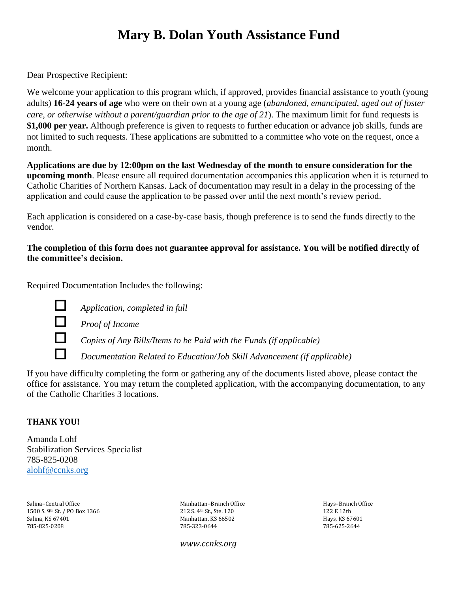Dear Prospective Recipient:

We welcome your application to this program which, if approved, provides financial assistance to youth (young adults) **16-24 years of age** who were on their own at a young age (*abandoned, emancipated, aged out of foster care, or otherwise without a parent/guardian prior to the age of 21*). The maximum limit for fund requests is **\$1,000 per year.** Although preference is given to requests to further education or advance job skills, funds are not limited to such requests. These applications are submitted to a committee who vote on the request, once a month.

**Applications are due by 12:00pm on the last Wednesday of the month to ensure consideration for the upcoming month**. Please ensure all required documentation accompanies this application when it is returned to Catholic Charities of Northern Kansas. Lack of documentation may result in a delay in the processing of the application and could cause the application to be passed over until the next month's review period.

Each application is considered on a case-by-case basis, though preference is to send the funds directly to the vendor.

**The completion of this form does not guarantee approval for assistance. You will be notified directly of the committee's decision.**

Required Documentation Includes the following:

| Ê. |  |
|----|--|
| l. |  |
|    |  |

*Application, completed in full*

 *Proof of Income Copies of Any Bills/Items to be Paid with the Funds (if applicable)*

*Documentation Related to Education/Job Skill Advancement (if applicable)*

If you have difficulty completing the form or gathering any of the documents listed above, please contact the office for assistance. You may return the completed application, with the accompanying documentation, to any of the Catholic Charities 3 locations.

#### **THANK YOU!**

Amanda Lohf Stabilization Services Specialist 785-825-0208 [alohf@ccnks.org](mailto:alohf@ccnks.org)

Salina–Central Office **Manhattan–Branch Office** Manhattan–Branch Office Hays–Branch Office 1500 S. 9th St. / PO Box 1366 212 S. 4th St., Ste. 120 212 S. 4th St., Ste. 120 122 E 12th Salina. KS 67401 **Manhattan, KS 66502** Hays, KS 67601 785-825-0208 785-323-0644

785-625-2644

*www.ccnks.org*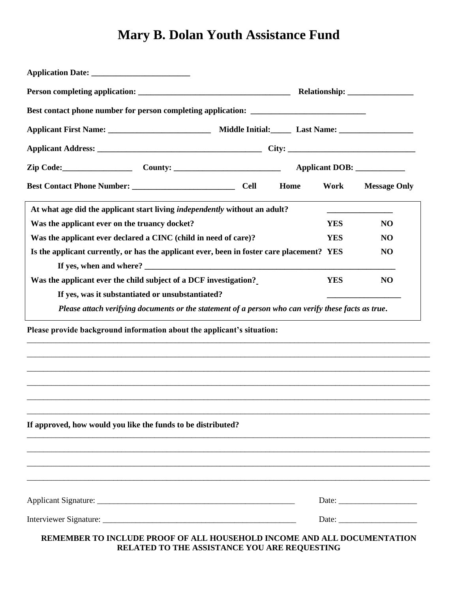| Best contact phone number for person completing application: ____________________                                                      |      |            |                     |  |
|----------------------------------------------------------------------------------------------------------------------------------------|------|------------|---------------------|--|
|                                                                                                                                        |      |            |                     |  |
|                                                                                                                                        |      |            |                     |  |
| Zip Code: County: County: County: Applicant DOB: County:                                                                               |      |            |                     |  |
|                                                                                                                                        | Home | Work       | <b>Message Only</b> |  |
| At what age did the applicant start living <i>independently</i> without an adult?                                                      |      |            |                     |  |
| Was the applicant ever on the truancy docket?                                                                                          |      | <b>YES</b> | N <sub>O</sub>      |  |
| Was the applicant ever declared a CINC (child in need of care)?                                                                        |      | <b>YES</b> | NO                  |  |
| Is the applicant currently, or has the applicant ever, been in foster care placement? YES                                              |      |            | N <sub>O</sub>      |  |
| Was the applicant ever the child subject of a DCF investigation?                                                                       |      | <b>YES</b> | N <sub>O</sub>      |  |
|                                                                                                                                        |      |            |                     |  |
| If yes, was it substantiated or unsubstantiated?                                                                                       |      |            |                     |  |
| Please attach verifying documents or the statement of a person who can verify these facts as true.                                     |      |            |                     |  |
|                                                                                                                                        |      |            |                     |  |
| Please provide background information about the applicant's situation:<br>If approved, how would you like the funds to be distributed? |      |            |                     |  |
|                                                                                                                                        |      |            |                     |  |
|                                                                                                                                        |      |            |                     |  |

**REMEMBER TO INCLUDE PROOF OF ALL HOUSEHOLD INCOME AND ALL DOCUMENTATION RELATED TO THE ASSISTANCE YOU ARE REQUESTING**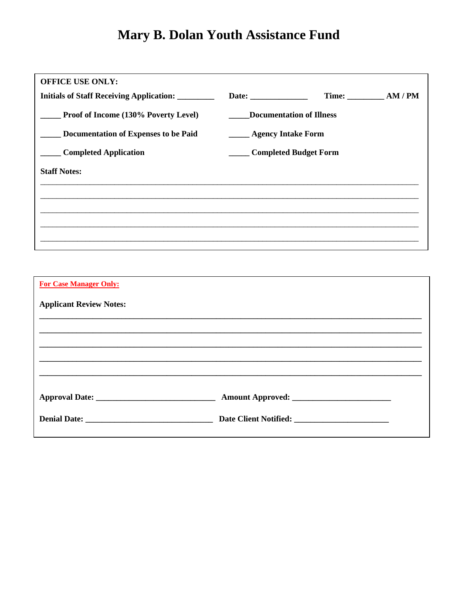| <b>OFFICE USE ONLY:</b>                         |                                       |                 |
|-------------------------------------------------|---------------------------------------|-----------------|
| <b>Initials of Staff Receiving Application:</b> |                                       | $Time:$ $AM/PM$ |
| <b>Proof of Income (130% Poverty Level)</b>     | <b>Documentation of Illness</b>       |                 |
| Documentation of Expenses to be Paid            | <b>Example 2.5 Agency Intake Form</b> |                 |
| <b>Completed Application</b>                    | <b>Completed Budget Form</b>          |                 |
| <b>Staff Notes:</b>                             |                                       |                 |
|                                                 |                                       |                 |
|                                                 |                                       |                 |
|                                                 |                                       |                 |
|                                                 |                                       |                 |

| <b>For Case Manager Only:</b>  |  |
|--------------------------------|--|
| <b>Applicant Review Notes:</b> |  |
|                                |  |
|                                |  |
|                                |  |
|                                |  |
|                                |  |
|                                |  |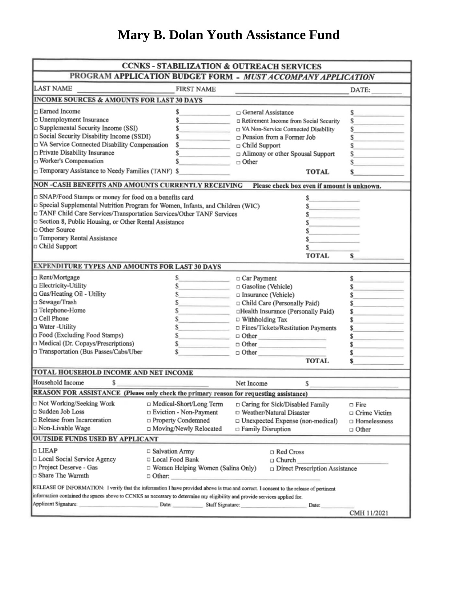| <b>CCNKS - STABILIZATION &amp; OUTREACH SERVICES</b>                                                                                   |                                     |                                                              |                |
|----------------------------------------------------------------------------------------------------------------------------------------|-------------------------------------|--------------------------------------------------------------|----------------|
|                                                                                                                                        |                                     | PROGRAM APPLICATION BUDGET FORM - MUST ACCOMPANY APPLICATION |                |
| <b>LAST NAME</b>                                                                                                                       | <b>FIRST NAME</b>                   |                                                              | DATE:          |
| <b>INCOME SOURCES &amp; AMOUNTS FOR LAST 30 DAYS</b>                                                                                   |                                     |                                                              |                |
| $\Box$ Earned Income                                                                                                                   | S                                   | $\Box$ General Assistance                                    |                |
| D Unemployment Insurance                                                                                                               |                                     | □ Retirement Income from Social Security                     | \$             |
| Supplemental Security Income (SSI)                                                                                                     |                                     | D VA Non-Service Connected Disability                        |                |
| Social Security Disability Income (SSDI)                                                                                               |                                     | $\Box$ Pension from a Former Job                             |                |
| □ VA Service Connected Disability Compensation                                                                                         | s                                   | $\Box$ Child Support                                         |                |
| <b>D</b> Private Disability Insurance                                                                                                  | S                                   | □ Alimony or other Spousal Support                           |                |
| Worker's Compensation                                                                                                                  |                                     | $\Box$ Other                                                 |                |
| Temporary Assistance to Needy Families (TANF) \$                                                                                       |                                     | <b>TOTAL</b>                                                 |                |
| NON-CASH BENEFITS AND AMOUNTS CURRENTLY RECEIVING                                                                                      |                                     | Please check box even if amount is unknown.                  |                |
| SNAP/Food Stamps or money for food on a benefits card                                                                                  |                                     |                                                              |                |
| □ Special Supplemental Nutrition Program for Women, Infants, and Children (WIC)                                                        |                                     | S                                                            |                |
| D TANF Child Care Services/Transportation Services/Other TANF Services                                                                 |                                     | S                                                            |                |
| G Section 8, Public Housing, or Other Rental Assistance                                                                                |                                     |                                                              |                |
| Other Source                                                                                                                           |                                     |                                                              |                |
| D Temporary Rental Assistance                                                                                                          |                                     |                                                              |                |
| Child Support                                                                                                                          |                                     |                                                              |                |
|                                                                                                                                        |                                     | <b>TOTAL</b>                                                 | s              |
| <b>EXPENDITURE TYPES AND AMOUNTS FOR LAST 30 DAYS</b>                                                                                  |                                     |                                                              |                |
| Rent/Mortgage                                                                                                                          | \$                                  | □ Car Payment                                                |                |
| <b>Blectricity-Utility</b>                                                                                                             |                                     | □ Gasoline (Vehicle)                                         |                |
| Gas/Heating Oil - Utility                                                                                                              |                                     | D Insurance (Vehicle)                                        |                |
| □ Sewage/Trash                                                                                                                         |                                     | Child Care (Personally Paid)                                 |                |
| □ Telephone-Home                                                                                                                       |                                     | □Health Insurance (Personally Paid)                          |                |
| □ Cell Phone                                                                                                                           |                                     | □ Withholding Tax                                            |                |
| □ Water -Utility                                                                                                                       |                                     | □ Fines/Tickets/Restitution Payments                         |                |
| D Food (Excluding Food Stamps)                                                                                                         |                                     | $\Box$ Other                                                 | S              |
| Medical (Dr. Copays/Prescriptions)                                                                                                     |                                     | □ Other                                                      |                |
| Transportation (Bus Passes/Cabs/Uber                                                                                                   |                                     | □ Other                                                      |                |
|                                                                                                                                        |                                     | <b>TOTAL</b>                                                 |                |
| TOTAL HOUSEHOLD INCOME AND NET INCOME                                                                                                  |                                     |                                                              |                |
| Household Income<br>s                                                                                                                  |                                     | Net Income<br>\$                                             |                |
| REASON FOR ASSISTANCE (Please only check the primary reason for requesting assistance)                                                 |                                     |                                                              |                |
| □ Not Working/Seeking Work                                                                                                             | □ Medical-Short/Long Term           | □ Caring for Sick/Disabled Family                            | $\Box$ Fire    |
| □ Sudden Job Loss                                                                                                                      | D Eviction - Non-Payment            | D Weather/Natural Disaster                                   | □ Crime Victim |
| Release from Incarceration                                                                                                             | □ Property Condemned                | □ Unexpected Expense (non-medical)                           | □ Homelessness |
| □ Non-Livable Wage                                                                                                                     | □ Moving/Newly Relocated            | $\Box$ Family Disruption                                     | $\Box$ Other   |
| <b>OUTSIDE FUNDS USED BY APPLICANT</b>                                                                                                 |                                     |                                                              |                |
| □ LIEAP                                                                                                                                | $\Box$ Salvation Army               | □ Red Cross                                                  |                |
| □ Local Social Service Agency                                                                                                          | □ Local Food Bank                   | $\Box$ Church                                                |                |
| □ Project Deserve - Gas                                                                                                                | □ Women Helping Women (Salina Only) | $\Box$ Direct Prescription Assistance                        |                |
| □ Share The Warmth<br>$\Box$ Other:                                                                                                    |                                     |                                                              |                |
| RELEASE OF INFORMATION: I verify that the information I have provided above is true and correct. I consent to the release of pertinent |                                     |                                                              |                |
| information contained the spaces above to CCNKS as necessary to determine my eligibility and provide services applied for.             |                                     |                                                              |                |
| Applicant Signature:                                                                                                                   | Date:<br>Staff Signature:           | Date:                                                        |                |
|                                                                                                                                        |                                     |                                                              | CMH 11/2021    |